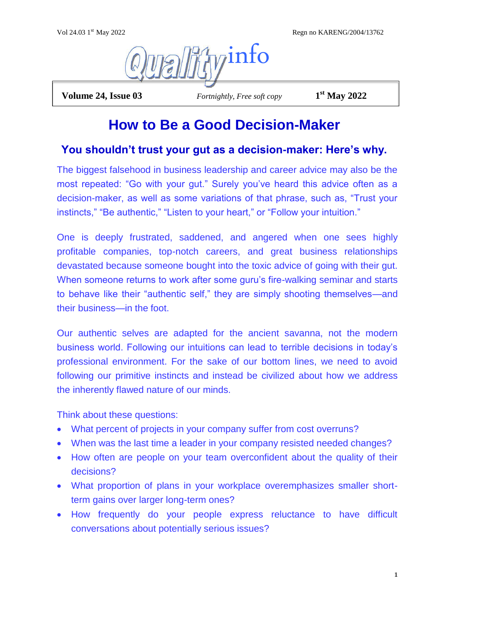Regn no KARENG/2004/13762



**Volume 24, Issue 03** *Fortnightly, Free soft copy* 

**st May 2022**

# **How to Be a Good Decision-Maker**

## **You shouldn't trust your gut as a decision-maker: Here's why.**

The biggest falsehood in business leadership and career advice may also be the most repeated: "Go with your gut." Surely you've heard this advice often as a decision-maker, as well as some variations of that phrase, such as, "Trust your instincts," "Be authentic," "Listen to your heart," or "Follow your intuition."

One is deeply frustrated, saddened, and angered when one sees highly profitable companies, top-notch careers, and great business relationships devastated because someone bought into the toxic advice of going with their gut. When someone returns to work after some guru's fire-walking seminar and starts to behave like their "authentic self," they are simply shooting themselves—and their business—in the foot.

Our authentic selves are adapted for the ancient savanna, not the modern business world. Following our intuitions can lead to terrible decisions in today's professional environment. For the sake of our bottom lines, we need to avoid following our primitive instincts and instead be civilized about how we address the inherently flawed nature of our minds.

Think about these questions:

- What percent of projects in your company suffer from cost overruns?
- When was the last time a leader in your company resisted needed changes?
- How often are people on your team overconfident about the quality of their decisions?
- What proportion of plans in your workplace overemphasizes smaller shortterm gains over larger long-term ones?
- How frequently do your people express reluctance to have difficult conversations about potentially serious issues?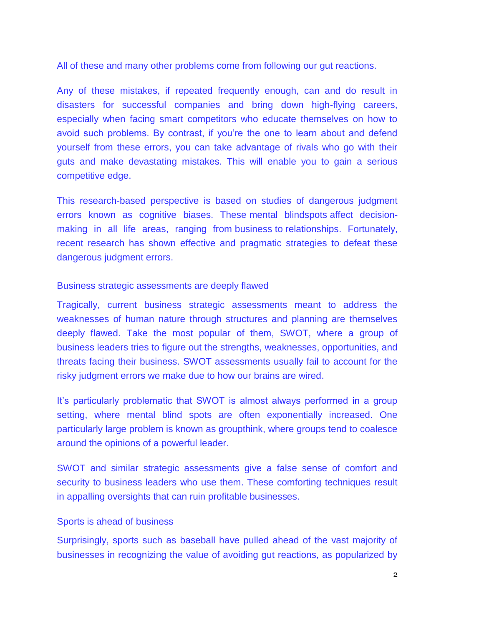All of these and many other problems come from following our gut reactions.

Any of these mistakes, if repeated frequently enough, can and do result in disasters for successful companies and bring down high-flying careers, especially when facing smart competitors who educate themselves on how to avoid such problems. By contrast, if you're the one to learn about and defend yourself from these errors, you can take advantage of rivals who go with their guts and make devastating mistakes. This will enable you to gain a serious competitive edge.

This research-based perspective is based on studies of dangerous judgment errors known as cognitive biases. These mental blindspots affect decisionmaking in all life areas, ranging from business to relationships. Fortunately, recent research has shown effective and pragmatic strategies to defeat these dangerous judgment errors.

#### Business strategic assessments are deeply flawed

Tragically, current business strategic assessments meant to address the weaknesses of human nature through structures and planning are themselves deeply flawed. Take the most popular of them, SWOT, where a group of business leaders tries to figure out the strengths, weaknesses, opportunities, and threats facing their business. SWOT assessments usually fail to account for the risky judgment errors we make due to how our brains are wired.

It's particularly problematic that SWOT is almost always performed in a group setting, where mental blind spots are often exponentially increased. One particularly large problem is known as groupthink, where groups tend to coalesce around the opinions of a powerful leader.

SWOT and similar strategic assessments give a false sense of comfort and security to business leaders who use them. These comforting techniques result in appalling oversights that can ruin profitable businesses.

### Sports is ahead of business

Surprisingly, sports such as baseball have pulled ahead of the vast majority of businesses in recognizing the value of avoiding gut reactions, as popularized by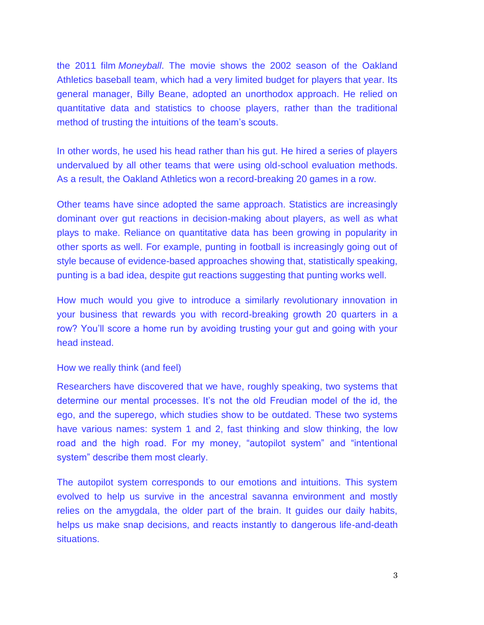the 2011 film *Moneyball*. The movie shows the 2002 season of the Oakland Athletics baseball team, which had a very limited budget for players that year. Its general manager, Billy Beane, adopted an unorthodox approach. He relied on quantitative data and statistics to choose players, rather than the traditional method of trusting the intuitions of the team's scouts.

In other words, he used his head rather than his gut. He hired a series of players undervalued by all other teams that were using old-school evaluation methods. As a result, the Oakland Athletics won a record-breaking 20 games in a row.

Other teams have since adopted the same approach. Statistics are increasingly dominant over gut reactions in decision-making about players, as well as what plays to make. Reliance on quantitative data has been growing in popularity in other sports as well. For example, punting in football is increasingly going out of style because of evidence-based approaches showing that, statistically speaking, punting is a bad idea, despite gut reactions suggesting that punting works well.

How much would you give to introduce a similarly revolutionary innovation in your business that rewards you with record-breaking growth 20 quarters in a row? You'll score a home run by avoiding trusting your gut and going with your head instead.

#### How we really think (and feel)

Researchers have discovered that we have, roughly speaking, two systems that determine our mental processes. It's not the old Freudian model of the id, the ego, and the superego, which studies show to be outdated. These two systems have various names: system 1 and 2, fast thinking and slow thinking, the low road and the high road. For my money, "autopilot system" and "intentional system" describe them most clearly.

The autopilot system corresponds to our emotions and intuitions. This system evolved to help us survive in the ancestral savanna environment and mostly relies on the amygdala, the older part of the brain. It guides our daily habits, helps us make snap decisions, and reacts instantly to dangerous life-and-death situations.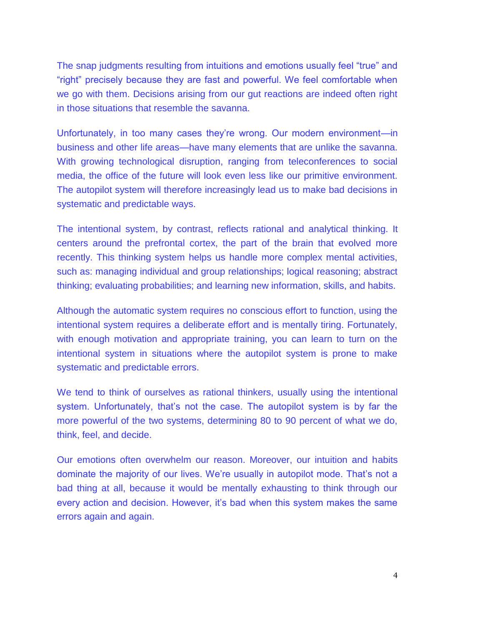The snap judgments resulting from intuitions and emotions usually feel "true" and "right" precisely because they are fast and powerful. We feel comfortable when we go with them. Decisions arising from our gut reactions are indeed often right in those situations that resemble the savanna.

Unfortunately, in too many cases they're wrong. Our modern environment—in business and other life areas—have many elements that are unlike the savanna. With growing technological disruption, ranging from teleconferences to social media, the office of the future will look even less like our primitive environment. The autopilot system will therefore increasingly lead us to make bad decisions in systematic and predictable ways.

The intentional system, by contrast, reflects rational and analytical thinking. It centers around the prefrontal cortex, the part of the brain that evolved more recently. This thinking system helps us handle more complex mental activities, such as: managing individual and group relationships; logical reasoning; abstract thinking; evaluating probabilities; and learning new information, skills, and habits.

Although the automatic system requires no conscious effort to function, using the intentional system requires a deliberate effort and is mentally tiring. Fortunately, with enough motivation and appropriate training, you can learn to turn on the intentional system in situations where the autopilot system is prone to make systematic and predictable errors.

We tend to think of ourselves as rational thinkers, usually using the intentional system. Unfortunately, that's not the case. The autopilot system is by far the more powerful of the two systems, determining 80 to 90 percent of what we do, think, feel, and decide.

Our emotions often overwhelm our reason. Moreover, our intuition and habits dominate the majority of our lives. We're usually in autopilot mode. That's not a bad thing at all, because it would be mentally exhausting to think through our every action and decision. However, it's bad when this system makes the same errors again and again.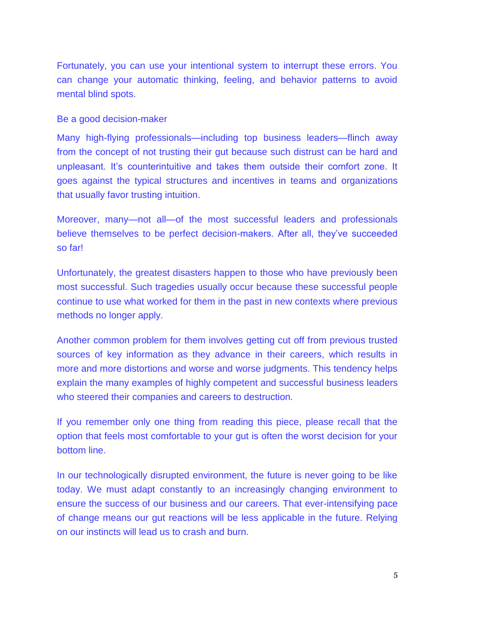Fortunately, you can use your intentional system to interrupt these errors. You can change your automatic thinking, feeling, and behavior patterns to avoid mental blind spots.

Be a good decision-maker

Many high-flying professionals—including top business leaders—flinch away from the concept of not trusting their gut because such distrust can be hard and unpleasant. It's counterintuitive and takes them outside their comfort zone. It goes against the typical structures and incentives in teams and organizations that usually favor trusting intuition.

Moreover, many—not all—of the most successful leaders and professionals believe themselves to be perfect decision-makers. After all, they've succeeded so far!

Unfortunately, the greatest disasters happen to those who have previously been most successful. Such tragedies usually occur because these successful people continue to use what worked for them in the past in new contexts where previous methods no longer apply.

Another common problem for them involves getting cut off from previous trusted sources of key information as they advance in their careers, which results in more and more distortions and worse and worse judgments. This tendency helps explain the many examples of highly competent and successful business leaders who steered their companies and careers to destruction.

If you remember only one thing from reading this piece, please recall that the option that feels most comfortable to your gut is often the worst decision for your bottom line.

In our technologically disrupted environment, the future is never going to be like today. We must adapt constantly to an increasingly changing environment to ensure the success of our business and our careers. That ever-intensifying pace of change means our gut reactions will be less applicable in the future. Relying on our instincts will lead us to crash and burn.